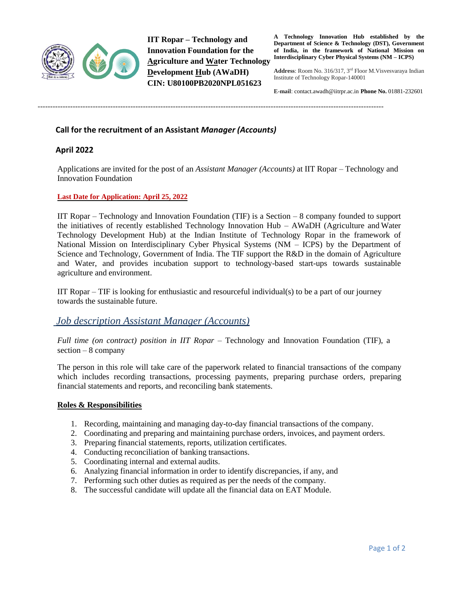

**IIT Ropar – Technology and Innovation Foundation for the Agriculture and Water Technology Development Hub (AWaDH) CIN: U80100PB2020NPL051623**

------------------------------------------------------------------------------------------------------------------------------------------

**A Technology Innovation Hub established by the Department of Science & Technology (DST), Government of India, in the framework of National Mission on Interdisciplinary Cyber Physical Systems (NM – ICPS)**

**Address**: Room No. 316/317, 3rd Floor M.Visvesvaraya Indian Institute of Technology Ropar-140001

**E-mail**: contac[t.awadh@iitrpr.ac.in](mailto:awadh@iitrpr.ac.in) **Phone No.** 01881-232601

**Call for the recruitment of an Assistant** *Manager (Accounts)*

## **April 2022**

Applications are invited for the post of an *Assistant Manager (Accounts)* at IIT Ropar – Technology and Innovation Foundation

#### **Last Date for Application: April 25, 2022**

IIT Ropar – Technology and Innovation Foundation (TIF) is a Section – 8 company founded to support the initiatives of recently established Technology Innovation Hub – AWaDH (Agriculture and Water Technology Development Hub) at the Indian Institute of Technology Ropar in the framework of National Mission on Interdisciplinary Cyber Physical Systems (NM – ICPS) by the Department of Science and Technology, Government of India. The TIF support the R&D in the domain of Agriculture and Water, and provides incubation support to technology-based start-ups towards sustainable agriculture and environment.

IIT Ropar – TIF is looking for enthusiastic and resourceful individual(s) to be a part of our journey towards the sustainable future.

# *Job description Assistant Manager (Accounts)*

*Full time (on contract) position in IIT Ropar –* Technology and Innovation Foundation (TIF), a section – 8 company

The person in this role will take care of the paperwork related to financial transactions of the company which includes recording transactions, processing payments, preparing purchase orders, preparing financial statements and reports, and reconciling bank statements.

## **Roles & Responsibilities**

- 1. Recording, maintaining and managing day-to-day financial transactions of the company.
- 2. Coordinating and preparing and maintaining purchase orders, invoices, and payment orders.
- 3. Preparing financial statements, reports, utilization certificates.
- 4. Conducting reconciliation of banking transactions.
- 5. Coordinating internal and external audits.
- 6. Analyzing financial information in order to identify discrepancies, if any, and
- 7. Performing such other duties as required as per the needs of the company.
- 8. The successful candidate will update all the financial data on EAT Module.